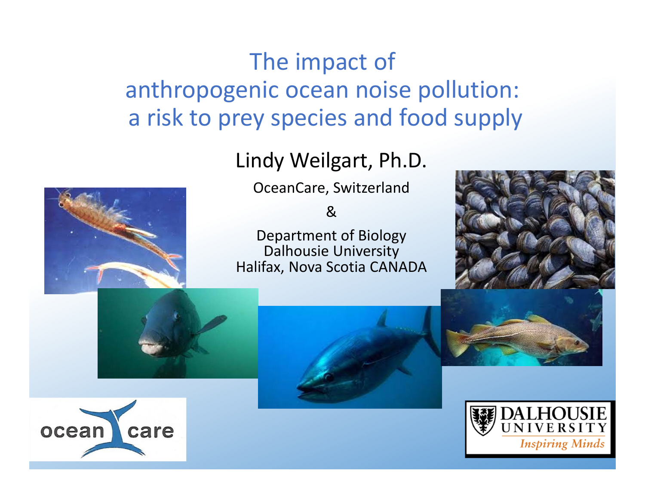# The impact of anthropogenic ocean noise pollution: a risk to prey species and food supply

#### Lindy Weilgart, Ph.D.

OceanCare, Switzerland

&

Department of Biology Dalhousie University Halifax, Nova Scotia CANADA









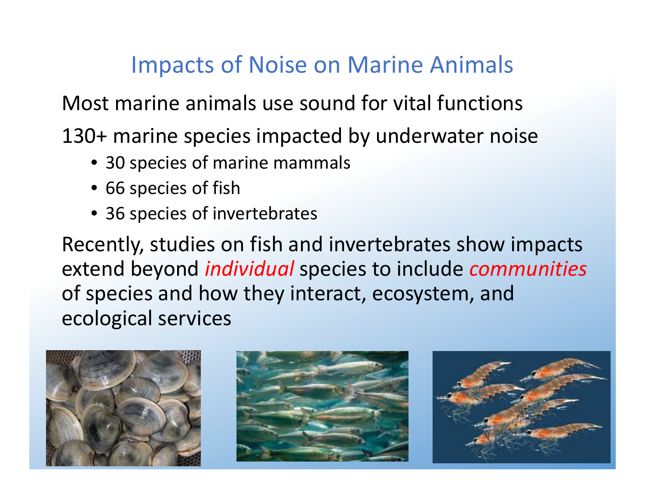# Impacts of Noise on Marine Animals

Most marine animals use sound for vital functions

130+ marine species impacted by underwater noise

- 30 species of marine mammals
- 66 species of fish
- 36 species of invertebrates

Recently, studies on fish and invertebrates show impacts extend beyond *individual* species to include *communities* of species and how they interact, ecosystem, and ecological services

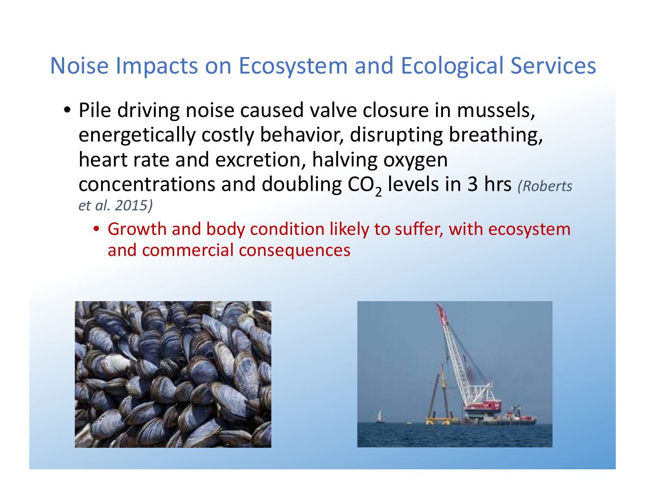# Noise Impacts on Ecosystem and Ecological Services

- Pile driving noise caused valve closure in mussels, energetically costly behavior, disrupting breathing, heart rate and excretion, halving oxygen concentrations and doubling CO<sub>2</sub> levels in 3 hrs *(Roberts et al. 2015)*
	- Growth and body condition likely to suffer, with ecosystem and commercial consequences



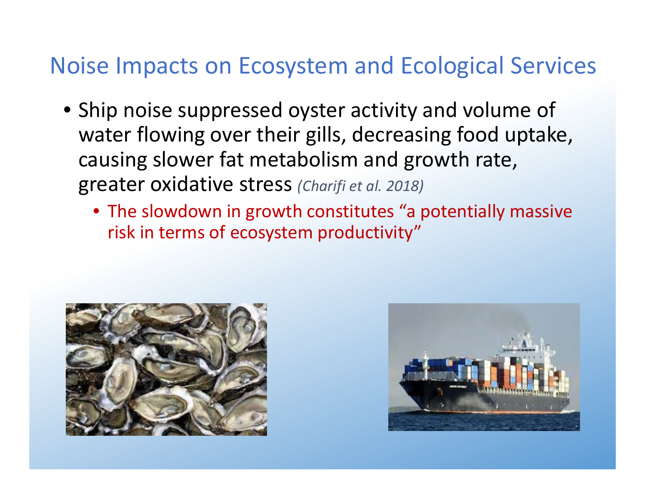# Noise Impacts on Ecosystem and Ecological Services

- Ship noise suppressed oyster activity and volume of water flowing over their gills, decreasing food uptake, causing slower fat metabolism and growth rate, greater oxidative stress *(Charifi et al. 2018)*
	- The slowdown in growth constitutes "a potentially massive risk in terms of ecosystem productivity"



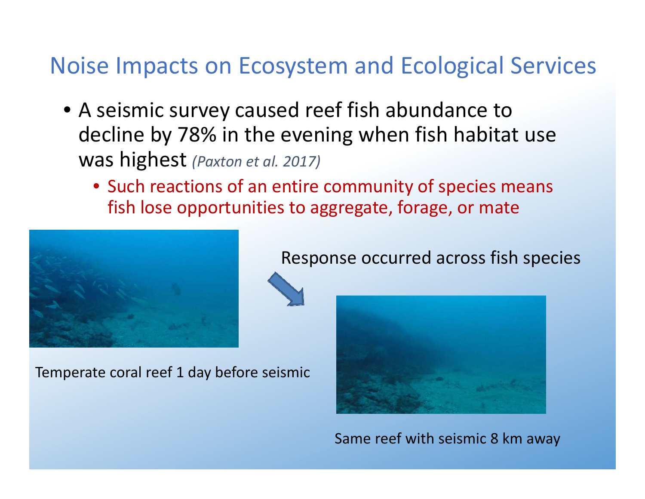## Noise Impacts on Ecosystem and Ecological Services

- A seismic survey caused reef fish abundance to decline by 78% in the evening when fish habitat use was highest *(Paxton et al. 2017)*
	- Such reactions of an entire community of species means fish lose opportunities to aggregate, forage, or mate



Temperate coral reef 1 day before seismic

Response occurred across fish species



Same reef with seismic 8 km away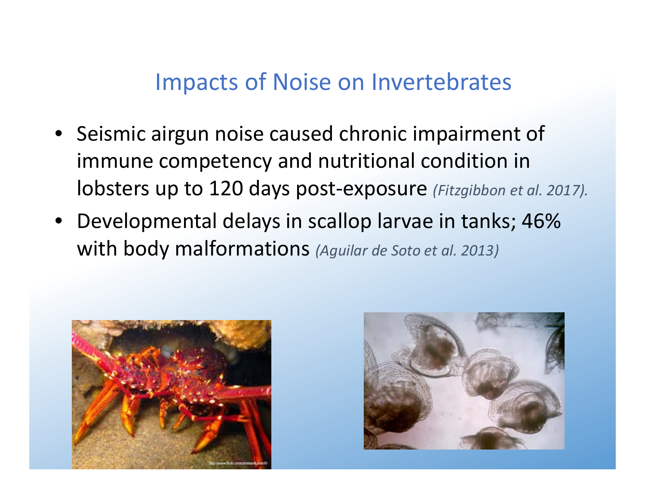### Impacts of Noise on Invertebrates

- Seismic airgun noise caused chronic impairment of immune competency and nutritional condition in lobsters up to 120 days post‐exposure *(Fitzgibbon et al. 2017).*
- Developmental delays in scallop larvae in tanks; 46% with body malformations *(Aguilar de Soto et al. 2013)*



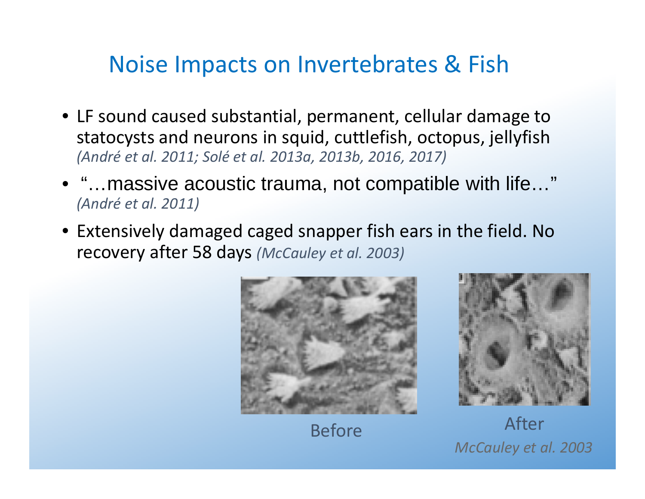### Noise Impacts on Invertebrates & Fish

- LF sound caused substantial, permanent, cellular damage to statocysts and neurons in squid, cuttlefish, octopus, jellyfish *(André et al. 2011; Solé et al. 2013a, 2013b, 2016, 2017)*
- • "…massive acoustic trauma, not compatible with life…" *(André et al. 2011)*
- Extensively damaged caged snapper fish ears in the field. No recovery after 58 days *(McCauley et al. 2003)*



Before



 After *McCauley et al. 2003*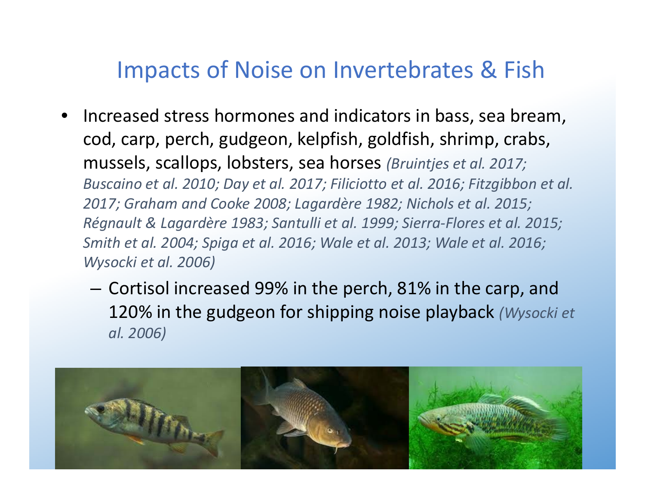### Impacts of Noise on Invertebrates & Fish

- • $\bullet$  Increased stress hormones and indicators in bass, sea bream, cod, carp, perch, gudgeon, kelpfish, goldfish, shrimp, crabs, mussels, scallops, lobsters, sea horses *(Bruintjes et al. 2017; Buscaino et al. 2010; Day et al. 2017; Filiciotto et al. 2016; Fitzgibbon et al. 2017; Graham and Cooke 2008; Lagardère 1982; Nichols et al. 2015; Régnault & Lagardère 1983; Santulli et al. 1999; Sierra‐Flores et al. 2015; Smith et al. 2004; Spiga et al. 2016; Wale et al. 2013; Wale et al. 2016; Wysocki et al. 2006)*
	- Cortisol increased 99% in the perch, 81% in the carp, and 120% in the gudgeon for shipping noise playback *(Wysocki et al. 2006)*

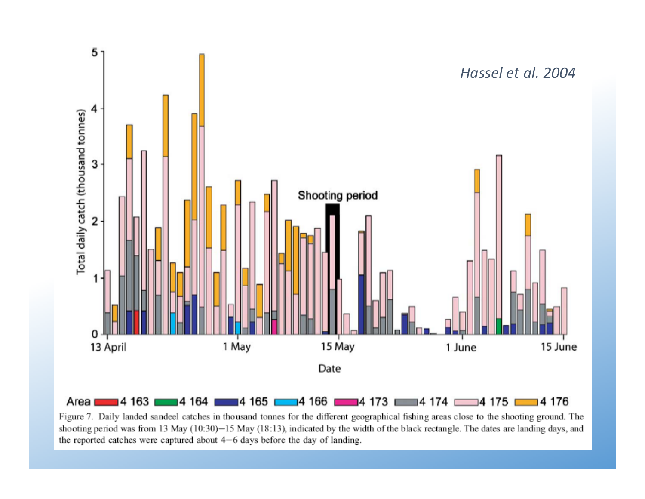

Figure 7. Daily landed sandeel catches in thousand tonnes for the different geographical fishing areas close to the shooting ground. The shooting period was from 13 May (10:30)-15 May (18:13), indicated by the width of the black rectangle. The dates are landing days, and the reported catches were captured about  $4-6$  days before the day of landing.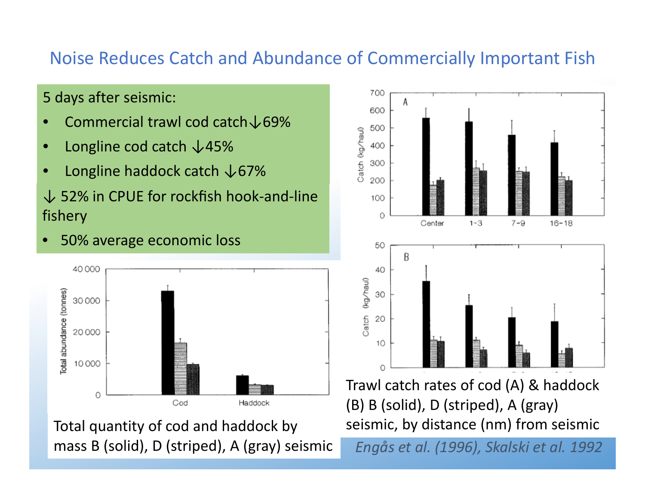#### Noise Reduces Catch and Abundance of Commercially Important Fish

#### 5 days after seismic:

- •Commercial trawl cod catch↓69%
- •Longline cod catch ↓45%
- •Longline haddock catch ↓67%

#### ↓ 52% in CPUE for rockfish hook-and-line fishery





Total quantity of cod and haddock by seismic, by distance (nm) from seismic mass B (solid), D (striped), A (gray) seismic



Trawl catch rates of cod (A) & haddock (B) B (solid), D (striped), A (gray)

*Engås et al. (1996), Skalski et al. 1992*